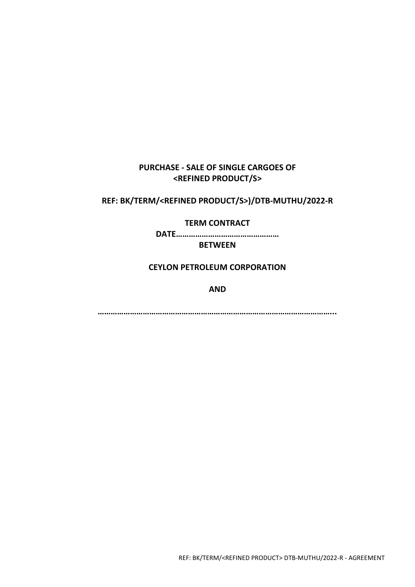# **PURCHASE - SALE OF SINGLE CARGOES OF <REFINED PRODUCT/S>**

**REF: BK/TERM/<REFINED PRODUCT/S>)/DTB-MUTHU/2022-R**

**TERM CONTRACT**

**DATE…………………………………………**

**BETWEEN**

**CEYLON PETROLEUM CORPORATION**

**AND**

**………………………………………………………………………………………………...**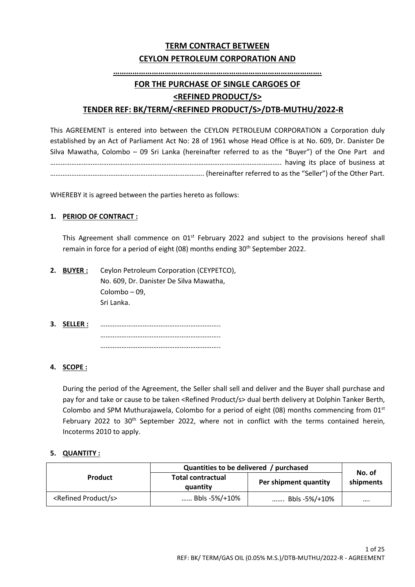# **TERM CONTRACT BETWEEN CEYLON PETROLEUM CORPORATION AND**

### **…………………………………………………………………………………….**

# **FOR THE PURCHASE OF SINGLE CARGOES OF**

### **<REFINED PRODUCT/S>**

## **TENDER REF: BK/TERM/<REFINED PRODUCT/S>/DTB-MUTHU/2022-R**

This AGREEMENT is entered into between the CEYLON PETROLEUM CORPORATION a Corporation duly established by an Act of Parliament Act No: 28 of 1961 whose Head Office is at No. 609, Dr. Danister De Silva Mawatha, Colombo – 09 Sri Lanka (hereinafter referred to as the "Buyer") of the One Part and ………………………………………………………………………………………………………………….. having its place of business at ……………………………………………….………………………….. (hereinafter referred to as the "Seller") of the Other Part.

WHEREBY it is agreed between the parties hereto as follows:

### **1. PERIOD OF CONTRACT :**

This Agreement shall commence on  $01<sup>st</sup>$  February 2022 and subject to the provisions hereof shall remain in force for a period of eight (08) months ending 30<sup>th</sup> September 2022.

- **2. BUYER :** Ceylon Petroleum Corporation (CEYPETCO), No. 609, Dr. Danister De Silva Mawatha, Colombo – 09, Sri Lanka.
- **3. SELLER :** ………………………………………………………….. ………………………………………………………….. …………………………………………………………..

### **4. SCOPE :**

During the period of the Agreement, the Seller shall sell and deliver and the Buyer shall purchase and pay for and take or cause to be taken <Refined Product/s> dual berth delivery at Dolphin Tanker Berth, Colombo and SPM Muthurajawela, Colombo for a period of eight (08) months commencing from  $01<sup>st</sup>$ February 2022 to  $30<sup>th</sup>$  September 2022, where not in conflict with the terms contained herein, Incoterms 2010 to apply.

#### **5. QUANTITY :**

|                                     | Quantities to be delivered / purchased |                       |                     |
|-------------------------------------|----------------------------------------|-----------------------|---------------------|
| <b>Product</b>                      | <b>Total contractual</b><br>quantity   | Per shipment quantity | No. of<br>shipments |
| <refined product="" s=""></refined> | Bbls -5%/+10%                          | Bbls -5%/+10%         |                     |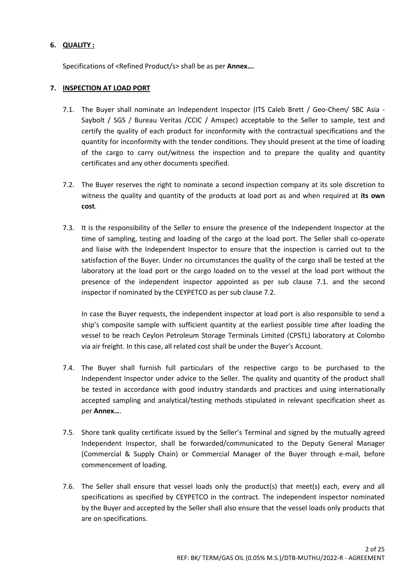### **6. QUALITY :**

Specifications of <Refined Product/s> shall be as per **Annex…**.

### **7. INSPECTION AT LOAD PORT**

- 7.1. The Buyer shall nominate an Independent Inspector (ITS Caleb Brett / Geo-Chem/ SBC Asia Saybolt / SGS / Bureau Veritas /CCIC / Amspec) acceptable to the Seller to sample, test and certify the quality of each product for inconformity with the contractual specifications and the quantity for inconformity with the tender conditions. They should present at the time of loading of the cargo to carry out/witness the inspection and to prepare the quality and quantity certificates and any other documents specified.
- 7.2. The Buyer reserves the right to nominate a second inspection company at its sole discretion to witness the quality and quantity of the products at load port as and when required at **its own cost**.
- 7.3. It is the responsibility of the Seller to ensure the presence of the Independent Inspector at the time of sampling, testing and loading of the cargo at the load port. The Seller shall co-operate and liaise with the Independent Inspector to ensure that the inspection is carried out to the satisfaction of the Buyer. Under no circumstances the quality of the cargo shall be tested at the laboratory at the load port or the cargo loaded on to the vessel at the load port without the presence of the independent inspector appointed as per sub clause 7.1. and the second inspector if nominated by the CEYPETCO as per sub clause 7.2.

In case the Buyer requests, the independent inspector at load port is also responsible to send a ship's composite sample with sufficient quantity at the earliest possible time after loading the vessel to be reach Ceylon Petroleum Storage Terminals Limited (CPSTL) laboratory at Colombo via air freight. In this case, all related cost shall be under the Buyer's Account.

- 7.4. The Buyer shall furnish full particulars of the respective cargo to be purchased to the Independent Inspector under advice to the Seller. The quality and quantity of the product shall be tested in accordance with good industry standards and practices and using internationally accepted sampling and analytical/testing methods stipulated in relevant specification sheet as per **Annex…**.
- 7.5. Shore tank quality certificate issued by the Seller's Terminal and signed by the mutually agreed Independent Inspector, shall be forwarded/communicated to the Deputy General Manager (Commercial & Supply Chain) or Commercial Manager of the Buyer through e-mail, before commencement of loading.
- 7.6. The Seller shall ensure that vessel loads only the product(s) that meet(s) each, every and all specifications as specified by CEYPETCO in the contract. The independent inspector nominated by the Buyer and accepted by the Seller shall also ensure that the vessel loads only products that are on specifications.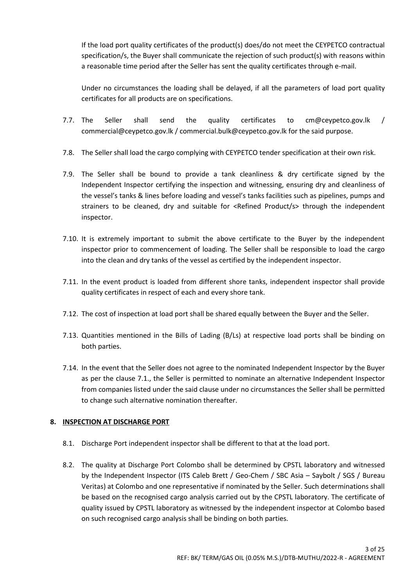If the load port quality certificates of the product(s) does/do not meet the CEYPETCO contractual specification/s, the Buyer shall communicate the rejection of such product(s) with reasons within a reasonable time period after the Seller has sent the quality certificates through e-mail.

Under no circumstances the loading shall be delayed, if all the parameters of load port quality certificates for all products are on specifications.

- 7.7. The Seller shall send the quality certificates to cm@ceypetco.gov.lk / commercial@ceypetco.gov.lk / commercial.bulk@ceypetco.gov.lk for the said purpose.
- 7.8. The Seller shall load the cargo complying with CEYPETCO tender specification at their own risk.
- 7.9. The Seller shall be bound to provide a tank cleanliness & dry certificate signed by the Independent Inspector certifying the inspection and witnessing, ensuring dry and cleanliness of the vessel's tanks & lines before loading and vessel's tanks facilities such as pipelines, pumps and strainers to be cleaned, dry and suitable for <Refined Product/s> through the independent inspector.
- 7.10. It is extremely important to submit the above certificate to the Buyer by the independent inspector prior to commencement of loading. The Seller shall be responsible to load the cargo into the clean and dry tanks of the vessel as certified by the independent inspector.
- 7.11. In the event product is loaded from different shore tanks, independent inspector shall provide quality certificates in respect of each and every shore tank.
- 7.12. The cost of inspection at load port shall be shared equally between the Buyer and the Seller.
- 7.13. Quantities mentioned in the Bills of Lading (B/Ls) at respective load ports shall be binding on both parties.
- 7.14. In the event that the Seller does not agree to the nominated Independent Inspector by the Buyer as per the clause 7.1., the Seller is permitted to nominate an alternative Independent Inspector from companies listed under the said clause under no circumstances the Seller shall be permitted to change such alternative nomination thereafter.

### **8. INSPECTION AT DISCHARGE PORT**

- 8.1. Discharge Port independent inspector shall be different to that at the load port.
- 8.2. The quality at Discharge Port Colombo shall be determined by CPSTL laboratory and witnessed by the Independent Inspector (ITS Caleb Brett / Geo-Chem / SBC Asia – Saybolt / SGS / Bureau Veritas) at Colombo and one representative if nominated by the Seller. Such determinations shall be based on the recognised cargo analysis carried out by the CPSTL laboratory. The certificate of quality issued by CPSTL laboratory as witnessed by the independent inspector at Colombo based on such recognised cargo analysis shall be binding on both parties.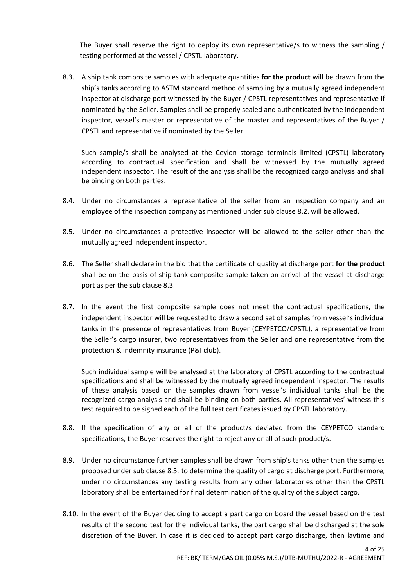The Buyer shall reserve the right to deploy its own representative/s to witness the sampling / testing performed at the vessel / CPSTL laboratory.

8.3. A ship tank composite samples with adequate quantities **for the product** will be drawn from the ship's tanks according to ASTM standard method of sampling by a mutually agreed independent inspector at discharge port witnessed by the Buyer / CPSTL representatives and representative if nominated by the Seller. Samples shall be properly sealed and authenticated by the independent inspector, vessel's master or representative of the master and representatives of the Buyer / CPSTL and representative if nominated by the Seller.

Such sample/s shall be analysed at the Ceylon storage terminals limited (CPSTL) laboratory according to contractual specification and shall be witnessed by the mutually agreed independent inspector. The result of the analysis shall be the recognized cargo analysis and shall be binding on both parties.

- 8.4. Under no circumstances a representative of the seller from an inspection company and an employee of the inspection company as mentioned under sub clause 8.2. will be allowed.
- 8.5. Under no circumstances a protective inspector will be allowed to the seller other than the mutually agreed independent inspector.
- 8.6. The Seller shall declare in the bid that the certificate of quality at discharge port **for the product** shall be on the basis of ship tank composite sample taken on arrival of the vessel at discharge port as per the sub clause 8.3.
- 8.7. In the event the first composite sample does not meet the contractual specifications, the independent inspector will be requested to draw a second set of samples from vessel's individual tanks in the presence of representatives from Buyer (CEYPETCO/CPSTL), a representative from the Seller's cargo insurer, two representatives from the Seller and one representative from the protection & indemnity insurance (P&I club).

Such individual sample will be analysed at the laboratory of CPSTL according to the contractual specifications and shall be witnessed by the mutually agreed independent inspector. The results of these analysis based on the samples drawn from vessel's individual tanks shall be the recognized cargo analysis and shall be binding on both parties. All representatives' witness this test required to be signed each of the full test certificates issued by CPSTL laboratory.

- 8.8. If the specification of any or all of the product/s deviated from the CEYPETCO standard specifications, the Buyer reserves the right to reject any or all of such product/s.
- 8.9. Under no circumstance further samples shall be drawn from ship's tanks other than the samples proposed under sub clause 8.5. to determine the quality of cargo at discharge port. Furthermore, under no circumstances any testing results from any other laboratories other than the CPSTL laboratory shall be entertained for final determination of the quality of the subject cargo.
- 8.10. In the event of the Buyer deciding to accept a part cargo on board the vessel based on the test results of the second test for the individual tanks, the part cargo shall be discharged at the sole discretion of the Buyer. In case it is decided to accept part cargo discharge, then laytime and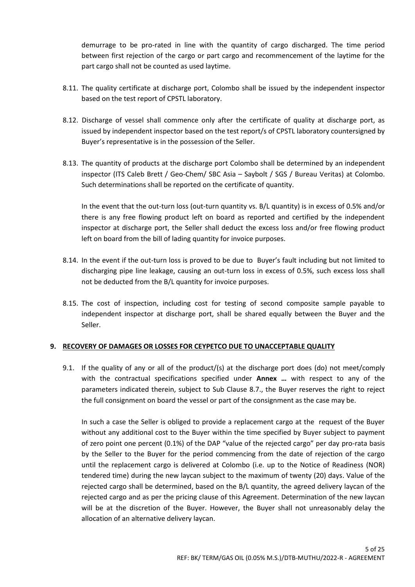demurrage to be pro-rated in line with the quantity of cargo discharged. The time period between first rejection of the cargo or part cargo and recommencement of the laytime for the part cargo shall not be counted as used laytime.

- 8.11. The quality certificate at discharge port, Colombo shall be issued by the independent inspector based on the test report of CPSTL laboratory.
- 8.12. Discharge of vessel shall commence only after the certificate of quality at discharge port, as issued by independent inspector based on the test report/s of CPSTL laboratory countersigned by Buyer's representative is in the possession of the Seller.
- 8.13. The quantity of products at the discharge port Colombo shall be determined by an independent inspector (ITS Caleb Brett / Geo-Chem/ SBC Asia – Saybolt / SGS / Bureau Veritas) at Colombo. Such determinations shall be reported on the certificate of quantity.

In the event that the out-turn loss (out-turn quantity vs. B/L quantity) is in excess of 0.5% and/or there is any free flowing product left on board as reported and certified by the independent inspector at discharge port, the Seller shall deduct the excess loss and/or free flowing product left on board from the bill of lading quantity for invoice purposes.

- 8.14. In the event if the out-turn loss is proved to be due to Buyer's fault including but not limited to discharging pipe line leakage, causing an out-turn loss in excess of 0.5%, such excess loss shall not be deducted from the B/L quantity for invoice purposes.
- 8.15. The cost of inspection, including cost for testing of second composite sample payable to independent inspector at discharge port, shall be shared equally between the Buyer and the Seller.

### **9. RECOVERY OF DAMAGES OR LOSSES FOR CEYPETCO DUE TO UNACCEPTABLE QUALITY**

9.1. If the quality of any or all of the product/(s) at the discharge port does (do) not meet/comply with the contractual specifications specified under **Annex …** with respect to any of the parameters indicated therein, subject to Sub Clause 8.7., the Buyer reserves the right to reject the full consignment on board the vessel or part of the consignment as the case may be.

In such a case the Seller is obliged to provide a replacement cargo at the request of the Buyer without any additional cost to the Buyer within the time specified by Buyer subject to payment of zero point one percent (0.1%) of the DAP "value of the rejected cargo" per day pro-rata basis by the Seller to the Buyer for the period commencing from the date of rejection of the cargo until the replacement cargo is delivered at Colombo (i.e. up to the Notice of Readiness (NOR) tendered time) during the new laycan subject to the maximum of twenty (20) days. Value of the rejected cargo shall be determined, based on the B/L quantity, the agreed delivery laycan of the rejected cargo and as per the pricing clause of this Agreement. Determination of the new laycan will be at the discretion of the Buyer. However, the Buyer shall not unreasonably delay the allocation of an alternative delivery laycan.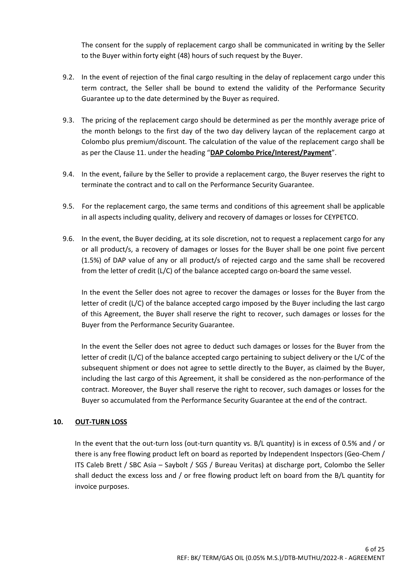The consent for the supply of replacement cargo shall be communicated in writing by the Seller to the Buyer within forty eight (48) hours of such request by the Buyer.

- 9.2. In the event of rejection of the final cargo resulting in the delay of replacement cargo under this term contract, the Seller shall be bound to extend the validity of the Performance Security Guarantee up to the date determined by the Buyer as required.
- 9.3. The pricing of the replacement cargo should be determined as per the monthly average price of the month belongs to the first day of the two day delivery laycan of the replacement cargo at Colombo plus premium/discount. The calculation of the value of the replacement cargo shall be as per the Clause 11. under the heading "**DAP Colombo Price/Interest/Payment**".
- 9.4. In the event, failure by the Seller to provide a replacement cargo, the Buyer reserves the right to terminate the contract and to call on the Performance Security Guarantee.
- 9.5. For the replacement cargo, the same terms and conditions of this agreement shall be applicable in all aspects including quality, delivery and recovery of damages or losses for CEYPETCO.
- 9.6. In the event, the Buyer deciding, at its sole discretion, not to request a replacement cargo for any or all product/s, a recovery of damages or losses for the Buyer shall be one point five percent (1.5%) of DAP value of any or all product/s of rejected cargo and the same shall be recovered from the letter of credit (L/C) of the balance accepted cargo on-board the same vessel.

In the event the Seller does not agree to recover the damages or losses for the Buyer from the letter of credit (L/C) of the balance accepted cargo imposed by the Buyer including the last cargo of this Agreement, the Buyer shall reserve the right to recover, such damages or losses for the Buyer from the Performance Security Guarantee.

In the event the Seller does not agree to deduct such damages or losses for the Buyer from the letter of credit (L/C) of the balance accepted cargo pertaining to subject delivery or the L/C of the subsequent shipment or does not agree to settle directly to the Buyer, as claimed by the Buyer, including the last cargo of this Agreement, it shall be considered as the non-performance of the contract. Moreover, the Buyer shall reserve the right to recover, such damages or losses for the Buyer so accumulated from the Performance Security Guarantee at the end of the contract.

### **10. OUT-TURN LOSS**

In the event that the out-turn loss (out-turn quantity vs. B/L quantity) is in excess of 0.5% and / or there is any free flowing product left on board as reported by Independent Inspectors (Geo-Chem / ITS Caleb Brett / SBC Asia – Saybolt / SGS / Bureau Veritas) at discharge port, Colombo the Seller shall deduct the excess loss and / or free flowing product left on board from the B/L quantity for invoice purposes.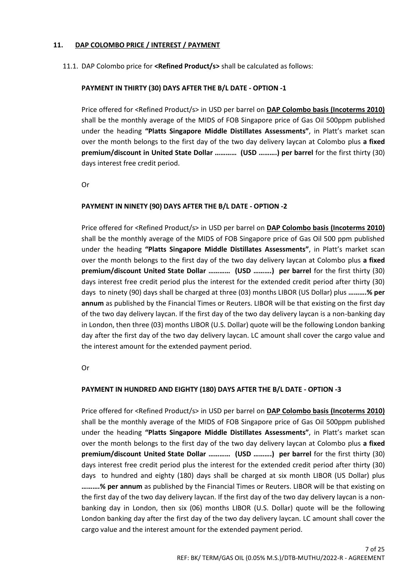#### **11. DAP COLOMBO PRICE / INTEREST / PAYMENT**

#### 11.1. DAP Colombo price for **<Refined Product/s>** shall be calculated as follows:

### **PAYMENT IN THIRTY (30) DAYS AFTER THE B/L DATE - OPTION -1**

Price offered for <Refined Product/s> in USD per barrel on **DAP Colombo basis (Incoterms 2010)** shall be the monthly average of the MIDS of FOB Singapore price of Gas Oil 500ppm published under the heading **"Platts Singapore Middle Distillates Assessments"**, in Platt's market scan over the month belongs to the first day of the two day delivery laycan at Colombo plus **a fixed premium/discount in United State Dollar ………… (USD ……….) per barrel** for the first thirty (30) days interest free credit period.

Or

### **PAYMENT IN NINETY (90) DAYS AFTER THE B/L DATE - OPTION -2**

Price offered for <Refined Product/s> in USD per barrel on **DAP Colombo basis (Incoterms 2010)** shall be the monthly average of the MIDS of FOB Singapore price of Gas Oil 500 ppm published under the heading **"Platts Singapore Middle Distillates Assessments"**, in Platt's market scan over the month belongs to the first day of the two day delivery laycan at Colombo plus **a fixed premium/discount United State Dollar ………… (USD ……….) per barrel** for the first thirty (30) days interest free credit period plus the interest for the extended credit period after thirty (30) days to ninety (90) days shall be charged at three (03) months LIBOR (US Dollar) plus **……….% per annum** as published by the Financial Times or Reuters. LIBOR will be that existing on the first day of the two day delivery laycan. If the first day of the two day delivery laycan is a non-banking day in London, then three (03) months LIBOR (U.S. Dollar) quote will be the following London banking day after the first day of the two day delivery laycan. LC amount shall cover the cargo value and the interest amount for the extended payment period.

Or

#### **PAYMENT IN HUNDRED AND EIGHTY (180) DAYS AFTER THE B/L DATE - OPTION -3**

Price offered for <Refined Product/s> in USD per barrel on **DAP Colombo basis (Incoterms 2010)** shall be the monthly average of the MIDS of FOB Singapore price of Gas Oil 500ppm published under the heading **"Platts Singapore Middle Distillates Assessments"**, in Platt's market scan over the month belongs to the first day of the two day delivery laycan at Colombo plus **a fixed premium/discount United State Dollar ………… (USD ……….) per barrel** for the first thirty (30) days interest free credit period plus the interest for the extended credit period after thirty (30) days to hundred and eighty (180) days shall be charged at six month LIBOR (US Dollar) plus **……….% per annum** as published by the Financial Times or Reuters. LIBOR will be that existing on the first day of the two day delivery laycan. If the first day of the two day delivery laycan is a nonbanking day in London, then six (06) months LIBOR (U.S. Dollar) quote will be the following London banking day after the first day of the two day delivery laycan. LC amount shall cover the cargo value and the interest amount for the extended payment period.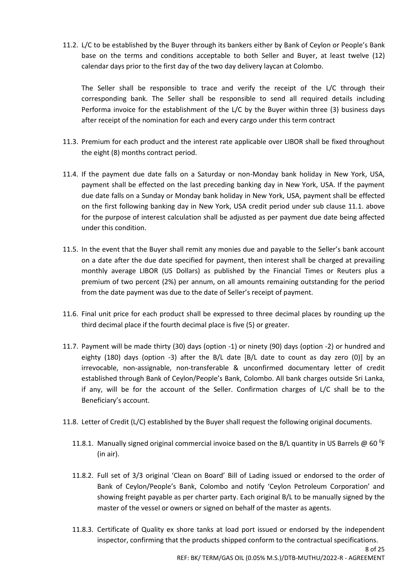11.2. L/C to be established by the Buyer through its bankers either by Bank of Ceylon or People's Bank base on the terms and conditions acceptable to both Seller and Buyer, at least twelve (12) calendar days prior to the first day of the two day delivery laycan at Colombo.

The Seller shall be responsible to trace and verify the receipt of the L/C through their corresponding bank. The Seller shall be responsible to send all required details including Performa invoice for the establishment of the L/C by the Buyer within three (3) business days after receipt of the nomination for each and every cargo under this term contract

- 11.3. Premium for each product and the interest rate applicable over LIBOR shall be fixed throughout the eight (8) months contract period.
- 11.4. If the payment due date falls on a Saturday or non-Monday bank holiday in New York, USA, payment shall be effected on the last preceding banking day in New York, USA. If the payment due date falls on a Sunday or Monday bank holiday in New York, USA, payment shall be effected on the first following banking day in New York, USA credit period under sub clause 11.1. above for the purpose of interest calculation shall be adjusted as per payment due date being affected under this condition.
- 11.5. In the event that the Buyer shall remit any monies due and payable to the Seller's bank account on a date after the due date specified for payment, then interest shall be charged at prevailing monthly average LIBOR (US Dollars) as published by the Financial Times or Reuters plus a premium of two percent (2%) per annum, on all amounts remaining outstanding for the period from the date payment was due to the date of Seller's receipt of payment.
- 11.6. Final unit price for each product shall be expressed to three decimal places by rounding up the third decimal place if the fourth decimal place is five (5) or greater.
- 11.7. Payment will be made thirty (30) days (option -1) or ninety (90) days (option -2) or hundred and eighty (180) days (option -3) after the B/L date [B/L date to count as day zero (0)] by an irrevocable, non-assignable, non-transferable & unconfirmed documentary letter of credit established through Bank of Ceylon/People's Bank, Colombo. All bank charges outside Sri Lanka, if any, will be for the account of the Seller. Confirmation charges of L/C shall be to the Beneficiary's account.
- 11.8. Letter of Credit (L/C) established by the Buyer shall request the following original documents.
	- 11.8.1. Manually signed original commercial invoice based on the B/L quantity in US Barrels @ 60 °F (in air).
	- 11.8.2. Full set of 3/3 original 'Clean on Board' Bill of Lading issued or endorsed to the order of Bank of Ceylon/People's Bank, Colombo and notify 'Ceylon Petroleum Corporation' and showing freight payable as per charter party. Each original B/L to be manually signed by the master of the vessel or owners or signed on behalf of the master as agents.
	- 11.8.3. Certificate of Quality ex shore tanks at load port issued or endorsed by the independent inspector, confirming that the products shipped conform to the contractual specifications.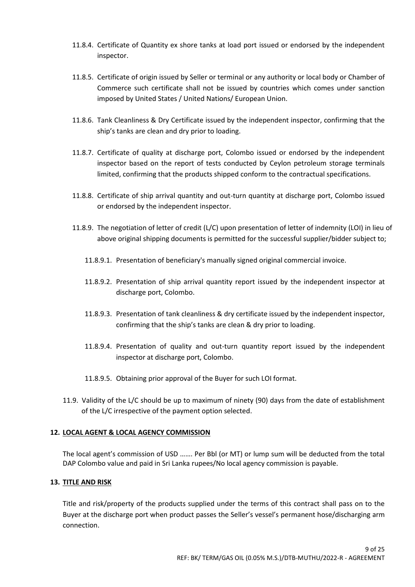- 11.8.4. Certificate of Quantity ex shore tanks at load port issued or endorsed by the independent inspector.
- 11.8.5. Certificate of origin issued by Seller or terminal or any authority or local body or Chamber of Commerce such certificate shall not be issued by countries which comes under sanction imposed by United States / United Nations/ European Union.
- 11.8.6. Tank Cleanliness & Dry Certificate issued by the independent inspector, confirming that the ship's tanks are clean and dry prior to loading.
- 11.8.7. Certificate of quality at discharge port, Colombo issued or endorsed by the independent inspector based on the report of tests conducted by Ceylon petroleum storage terminals limited, confirming that the products shipped conform to the contractual specifications.
- 11.8.8. Certificate of ship arrival quantity and out-turn quantity at discharge port, Colombo issued or endorsed by the independent inspector.
- 11.8.9. The negotiation of letter of credit (L/C) upon presentation of letter of indemnity (LOI) in lieu of above original shipping documents is permitted for the successful supplier/bidder subject to;
	- 11.8.9.1. Presentation of beneficiary's manually signed original commercial invoice.
	- 11.8.9.2. Presentation of ship arrival quantity report issued by the independent inspector at discharge port, Colombo.
	- 11.8.9.3. Presentation of tank cleanliness & dry certificate issued by the independent inspector, confirming that the ship's tanks are clean & dry prior to loading.
	- 11.8.9.4. Presentation of quality and out-turn quantity report issued by the independent inspector at discharge port, Colombo.
	- 11.8.9.5. Obtaining prior approval of the Buyer for such LOI format.
- 11.9. Validity of the L/C should be up to maximum of ninety (90) days from the date of establishment of the L/C irrespective of the payment option selected.

#### **12. LOCAL AGENT & LOCAL AGENCY COMMISSION**

The local agent's commission of USD ……. Per Bbl (or MT) or lump sum will be deducted from the total DAP Colombo value and paid in Sri Lanka rupees/No local agency commission is payable.

#### **13. TITLE AND RISK**

Title and risk/property of the products supplied under the terms of this contract shall pass on to the Buyer at the discharge port when product passes the Seller's vessel's permanent hose/discharging arm connection.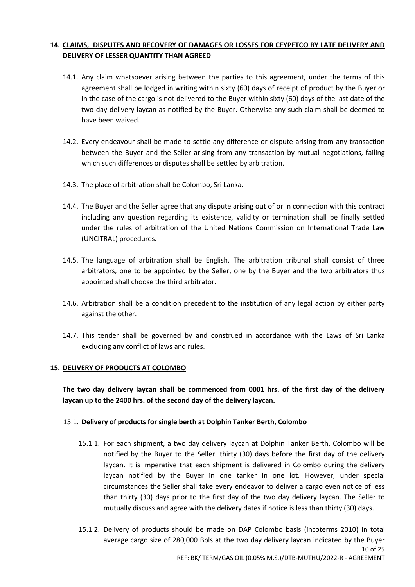## **14. CLAIMS, DISPUTES AND RECOVERY OF DAMAGES OR LOSSES FOR CEYPETCO BY LATE DELIVERY AND DELIVERY OF LESSER QUANTITY THAN AGREED**

- 14.1. Any claim whatsoever arising between the parties to this agreement, under the terms of this agreement shall be lodged in writing within sixty (60) days of receipt of product by the Buyer or in the case of the cargo is not delivered to the Buyer within sixty (60) days of the last date of the two day delivery laycan as notified by the Buyer. Otherwise any such claim shall be deemed to have been waived.
- 14.2. Every endeavour shall be made to settle any difference or dispute arising from any transaction between the Buyer and the Seller arising from any transaction by mutual negotiations, failing which such differences or disputes shall be settled by arbitration.
- 14.3. The place of arbitration shall be Colombo, Sri Lanka.
- 14.4. The Buyer and the Seller agree that any dispute arising out of or in connection with this contract including any question regarding its existence, validity or termination shall be finally settled under the rules of arbitration of the United Nations Commission on International Trade Law (UNCITRAL) procedures.
- 14.5. The language of arbitration shall be English. The arbitration tribunal shall consist of three arbitrators, one to be appointed by the Seller, one by the Buyer and the two arbitrators thus appointed shall choose the third arbitrator.
- 14.6. Arbitration shall be a condition precedent to the institution of any legal action by either party against the other.
- 14.7. This tender shall be governed by and construed in accordance with the Laws of Sri Lanka excluding any conflict of laws and rules.

#### **15. DELIVERY OF PRODUCTS AT COLOMBO**

**The two day delivery laycan shall be commenced from 0001 hrs. of the first day of the delivery laycan up to the 2400 hrs. of the second day of the delivery laycan.**

#### 15.1. **Delivery of products for single berth at Dolphin Tanker Berth, Colombo**

- 15.1.1. For each shipment, a two day delivery laycan at Dolphin Tanker Berth, Colombo will be notified by the Buyer to the Seller, thirty (30) days before the first day of the delivery laycan. It is imperative that each shipment is delivered in Colombo during the delivery laycan notified by the Buyer in one tanker in one lot. However, under special circumstances the Seller shall take every endeavor to deliver a cargo even notice of less than thirty (30) days prior to the first day of the two day delivery laycan. The Seller to mutually discuss and agree with the delivery dates if notice is less than thirty (30) days.
- 10 of 25 REF: BK/ TERM/GAS OIL (0.05% M.S.)/DTB-MUTHU/2022-R - AGREEMENT 15.1.2. Delivery of products should be made on DAP Colombo basis (incoterms 2010) in total average cargo size of 280,000 Bbls at the two day delivery laycan indicated by the Buyer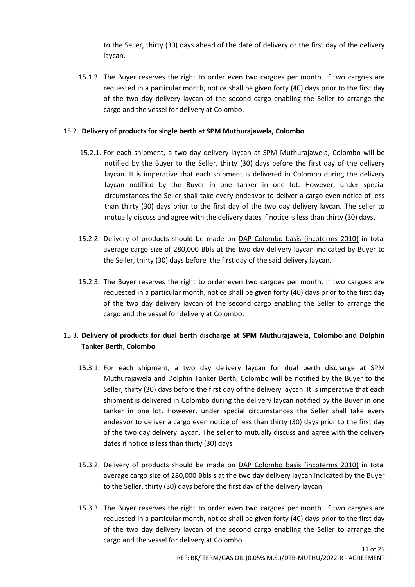to the Seller, thirty (30) days ahead of the date of delivery or the first day of the delivery laycan.

15.1.3. The Buyer reserves the right to order even two cargoes per month. If two cargoes are requested in a particular month, notice shall be given forty (40) days prior to the first day of the two day delivery laycan of the second cargo enabling the Seller to arrange the cargo and the vessel for delivery at Colombo.

#### 15.2. **Delivery of products for single berth at SPM Muthurajawela, Colombo**

- 15.2.1. For each shipment, a two day delivery laycan at SPM Muthurajawela, Colombo will be notified by the Buyer to the Seller, thirty (30) days before the first day of the delivery laycan. It is imperative that each shipment is delivered in Colombo during the delivery laycan notified by the Buyer in one tanker in one lot. However, under special circumstances the Seller shall take every endeavor to deliver a cargo even notice of less than thirty (30) days prior to the first day of the two day delivery laycan. The seller to mutually discuss and agree with the delivery dates if notice is less than thirty (30) days.
- 15.2.2. Delivery of products should be made on DAP Colombo basis (incoterms 2010) in total average cargo size of 280,000 Bbls at the two day delivery laycan indicated by Buyer to the Seller, thirty (30) days before the first day of the said delivery laycan.
- 15.2.3. The Buyer reserves the right to order even two cargoes per month. If two cargoes are requested in a particular month, notice shall be given forty (40) days prior to the first day of the two day delivery laycan of the second cargo enabling the Seller to arrange the cargo and the vessel for delivery at Colombo.

### 15.3. **Delivery of products for dual berth discharge at SPM Muthurajawela, Colombo and Dolphin Tanker Berth, Colombo**

- 15.3.1. For each shipment, a two day delivery laycan for dual berth discharge at SPM Muthurajawela and Dolphin Tanker Berth, Colombo will be notified by the Buyer to the Seller, thirty (30) days before the first day of the delivery laycan. It is imperative that each shipment is delivered in Colombo during the delivery laycan notified by the Buyer in one tanker in one lot. However, under special circumstances the Seller shall take every endeavor to deliver a cargo even notice of less than thirty (30) days prior to the first day of the two day delivery laycan. The seller to mutually discuss and agree with the delivery dates if notice is less than thirty (30) days
- 15.3.2. Delivery of products should be made on DAP Colombo basis (incoterms 2010) in total average cargo size of 280,000 Bbls s at the two day delivery laycan indicated by the Buyer to the Seller, thirty (30) days before the first day of the delivery laycan.
- 15.3.3. The Buyer reserves the right to order even two cargoes per month. If two cargoes are requested in a particular month, notice shall be given forty (40) days prior to the first day of the two day delivery laycan of the second cargo enabling the Seller to arrange the cargo and the vessel for delivery at Colombo.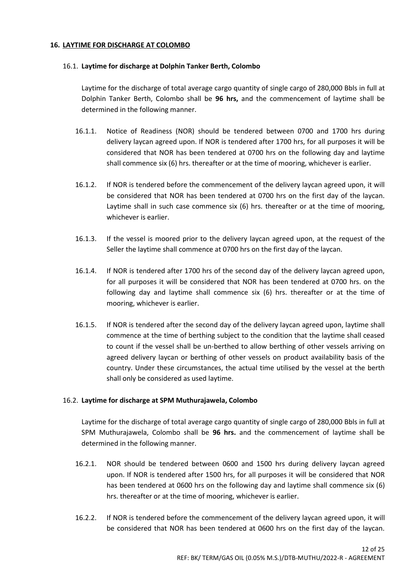#### **16. LAYTIME FOR DISCHARGE AT COLOMBO**

#### 16.1. **Laytime for discharge at Dolphin Tanker Berth, Colombo**

Laytime for the discharge of total average cargo quantity of single cargo of 280,000 Bbls in full at Dolphin Tanker Berth, Colombo shall be **96 hrs,** and the commencement of laytime shall be determined in the following manner.

- 16.1.1. Notice of Readiness (NOR) should be tendered between 0700 and 1700 hrs during delivery laycan agreed upon. If NOR is tendered after 1700 hrs, for all purposes it will be considered that NOR has been tendered at 0700 hrs on the following day and laytime shall commence six (6) hrs. thereafter or at the time of mooring, whichever is earlier.
- 16.1.2. If NOR is tendered before the commencement of the delivery laycan agreed upon, it will be considered that NOR has been tendered at 0700 hrs on the first day of the laycan. Laytime shall in such case commence six (6) hrs. thereafter or at the time of mooring, whichever is earlier.
- 16.1.3. If the vessel is moored prior to the delivery laycan agreed upon, at the request of the Seller the laytime shall commence at 0700 hrs on the first day of the laycan.
- 16.1.4. If NOR is tendered after 1700 hrs of the second day of the delivery laycan agreed upon, for all purposes it will be considered that NOR has been tendered at 0700 hrs. on the following day and laytime shall commence six (6) hrs. thereafter or at the time of mooring, whichever is earlier.
- 16.1.5. If NOR is tendered after the second day of the delivery laycan agreed upon, laytime shall commence at the time of berthing subject to the condition that the laytime shall ceased to count if the vessel shall be un-berthed to allow berthing of other vessels arriving on agreed delivery laycan or berthing of other vessels on product availability basis of the country. Under these circumstances, the actual time utilised by the vessel at the berth shall only be considered as used laytime.

#### 16.2. **Laytime for discharge at SPM Muthurajawela, Colombo**

Laytime for the discharge of total average cargo quantity of single cargo of 280,000 Bbls in full at SPM Muthurajawela, Colombo shall be **96 hrs.** and the commencement of laytime shall be determined in the following manner.

- 16.2.1. NOR should be tendered between 0600 and 1500 hrs during delivery laycan agreed upon. If NOR is tendered after 1500 hrs, for all purposes it will be considered that NOR has been tendered at 0600 hrs on the following day and laytime shall commence six (6) hrs. thereafter or at the time of mooring, whichever is earlier.
- 16.2.2. If NOR is tendered before the commencement of the delivery laycan agreed upon, it will be considered that NOR has been tendered at 0600 hrs on the first day of the laycan.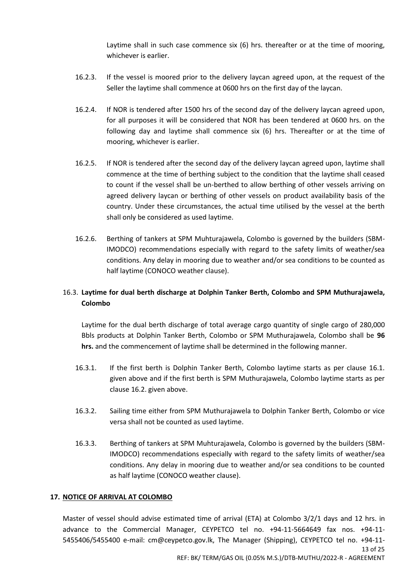Laytime shall in such case commence six (6) hrs. thereafter or at the time of mooring, whichever is earlier.

- 16.2.3. If the vessel is moored prior to the delivery laycan agreed upon, at the request of the Seller the laytime shall commence at 0600 hrs on the first day of the laycan.
- 16.2.4. If NOR is tendered after 1500 hrs of the second day of the delivery laycan agreed upon, for all purposes it will be considered that NOR has been tendered at 0600 hrs. on the following day and laytime shall commence six (6) hrs. Thereafter or at the time of mooring, whichever is earlier.
- 16.2.5. If NOR is tendered after the second day of the delivery laycan agreed upon, laytime shall commence at the time of berthing subject to the condition that the laytime shall ceased to count if the vessel shall be un-berthed to allow berthing of other vessels arriving on agreed delivery laycan or berthing of other vessels on product availability basis of the country. Under these circumstances, the actual time utilised by the vessel at the berth shall only be considered as used laytime.
- 16.2.6. Berthing of tankers at SPM Muhturajawela, Colombo is governed by the builders (SBM-IMODCO) recommendations especially with regard to the safety limits of weather/sea conditions. Any delay in mooring due to weather and/or sea conditions to be counted as half laytime (CONOCO weather clause).

# 16.3. **Laytime for dual berth discharge at Dolphin Tanker Berth, Colombo and SPM Muthurajawela, Colombo**

Laytime for the dual berth discharge of total average cargo quantity of single cargo of 280,000 Bbls products at Dolphin Tanker Berth, Colombo or SPM Muthurajawela, Colombo shall be **96 hrs.** and the commencement of laytime shall be determined in the following manner.

- 16.3.1. If the first berth is Dolphin Tanker Berth, Colombo laytime starts as per clause 16.1. given above and if the first berth is SPM Muthurajawela, Colombo laytime starts as per clause 16.2. given above.
- 16.3.2. Sailing time either from SPM Muthurajawela to Dolphin Tanker Berth, Colombo or vice versa shall not be counted as used laytime.
- 16.3.3. Berthing of tankers at SPM Muhturajawela, Colombo is governed by the builders (SBM-IMODCO) recommendations especially with regard to the safety limits of weather/sea conditions. Any delay in mooring due to weather and/or sea conditions to be counted as half laytime (CONOCO weather clause).

### **17. NOTICE OF ARRIVAL AT COLOMBO**

13 of 25 REF: BK/ TERM/GAS OIL (0.05% M.S.)/DTB-MUTHU/2022-R - AGREEMENT Master of vessel should advise estimated time of arrival (ETA) at Colombo 3/2/1 days and 12 hrs. in advance to the Commercial Manager, CEYPETCO tel no. +94-11-5664649 fax nos. +94-11- 5455406/5455400 e-mail: cm@ceypetco.gov.lk, The Manager (Shipping), CEYPETCO tel no. +94-11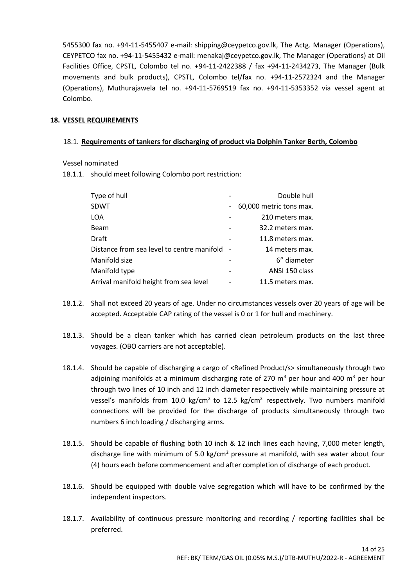5455300 fax no. +94-11-5455407 e-mail: shipping@ceypetco.gov.lk, The Actg. Manager (Operations), CEYPETCO fax no. +94-11-5455432 e-mail: menakaj@ceypetco.gov.lk, The Manager (Operations) at Oil Facilities Office, CPSTL, Colombo tel no. +94-11-2422388 / fax +94-11-2434273, The Manager (Bulk movements and bulk products), CPSTL, Colombo tel/fax no. +94-11-2572324 and the Manager (Operations), Muthurajawela tel no. +94-11-5769519 fax no. +94-11-5353352 via vessel agent at Colombo.

### **18. VESSEL REQUIREMENTS**

### 18.1. **Requirements of tankers for discharging of product via Dolphin Tanker Berth, Colombo**

Vessel nominated

18.1.1. should meet following Colombo port restriction:

| Type of hull                               |                          | Double hull             |
|--------------------------------------------|--------------------------|-------------------------|
| <b>SDWT</b>                                | $\overline{\phantom{a}}$ | 60,000 metric tons max. |
| LOA                                        |                          | 210 meters max.         |
| Beam                                       |                          | 32.2 meters max.        |
| Draft                                      |                          | 11.8 meters max.        |
| Distance from sea level to centre manifold | $\overline{\phantom{a}}$ | 14 meters max.          |
| Manifold size                              |                          | 6" diameter             |
| Manifold type                              |                          | ANSI 150 class          |
| Arrival manifold height from sea level     |                          | 11.5 meters max.        |
|                                            |                          |                         |

- 18.1.2. Shall not exceed 20 years of age. Under no circumstances vessels over 20 years of age will be accepted. Acceptable CAP rating of the vessel is 0 or 1 for hull and machinery.
- 18.1.3. Should be a clean tanker which has carried clean petroleum products on the last three voyages. (OBO carriers are not acceptable).
- 18.1.4. Should be capable of discharging a cargo of <Refined Product/s> simultaneously through two adjoining manifolds at a minimum discharging rate of 270  $\text{m}^3$  per hour and 400  $\text{m}^3$  per hour through two lines of 10 inch and 12 inch diameter respectively while maintaining pressure at vessel's manifolds from 10.0 kg/cm<sup>2</sup> to 12.5 kg/cm<sup>2</sup> respectively. Two numbers manifold connections will be provided for the discharge of products simultaneously through two numbers 6 inch loading / discharging arms.
- 18.1.5. Should be capable of flushing both 10 inch & 12 inch lines each having, 7,000 meter length, discharge line with minimum of 5.0 kg/cm<sup>2</sup> pressure at manifold, with sea water about four (4) hours each before commencement and after completion of discharge of each product.
- 18.1.6. Should be equipped with double valve segregation which will have to be confirmed by the independent inspectors.
- 18.1.7. Availability of continuous pressure monitoring and recording / reporting facilities shall be preferred.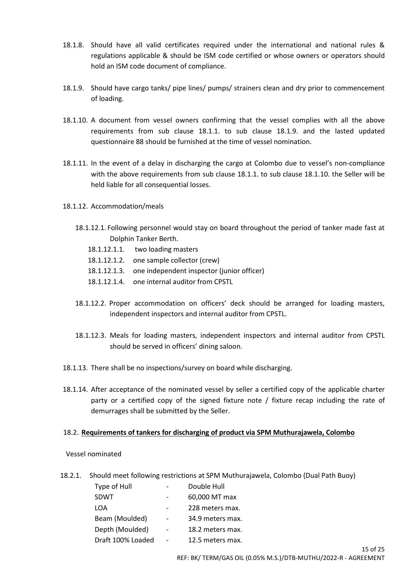- 18.1.8. Should have all valid certificates required under the international and national rules & regulations applicable & should be ISM code certified or whose owners or operators should hold an ISM code document of compliance.
- 18.1.9. Should have cargo tanks/ pipe lines/ pumps/ strainers clean and dry prior to commencement of loading.
- 18.1.10. A document from vessel owners confirming that the vessel complies with all the above requirements from sub clause 18.1.1. to sub clause 18.1.9. and the lasted updated questionnaire 88 should be furnished at the time of vessel nomination.
- 18.1.11. In the event of a delay in discharging the cargo at Colombo due to vessel's non-compliance with the above requirements from sub clause 18.1.1. to sub clause 18.1.10. the Seller will be held liable for all consequential losses.
- 18.1.12. Accommodation/meals
	- 18.1.12.1. Following personnel would stay on board throughout the period of tanker made fast at Dolphin Tanker Berth.
		- 18.1.12.1.1. two loading masters
		- 18.1.12.1.2. one sample collector (crew)
		- 18.1.12.1.3. one independent inspector (junior officer)
		- 18.1.12.1.4. one internal auditor from CPSTL
	- 18.1.12.2. Proper accommodation on officers' deck should be arranged for loading masters, independent inspectors and internal auditor from CPSTL.
	- 18.1.12.3. Meals for loading masters, independent inspectors and internal auditor from CPSTL should be served in officers' dining saloon.
- 18.1.13. There shall be no inspections/survey on board while discharging.
- 18.1.14. After acceptance of the nominated vessel by seller a certified copy of the applicable charter party or a certified copy of the signed fixture note / fixture recap including the rate of demurrages shall be submitted by the Seller.

#### 18.2. **Requirements of tankers for discharging of product via SPM Muthurajawela, Colombo**

Vessel nominated

18.2.1. Should meet following restrictions at SPM Muthurajawela, Colombo (Dual Path Buoy)

| Type of Hull      |                              | Double Hull      |
|-------------------|------------------------------|------------------|
| <b>SDWT</b>       | $\overline{\phantom{0}}$     | 60,000 MT max    |
| LOA               |                              | 228 meters max.  |
| Beam (Moulded)    |                              | 34.9 meters max. |
| Depth (Moulded)   | $\qquad \qquad \blacksquare$ | 18.2 meters max. |
| Draft 100% Loaded |                              | 12.5 meters max. |
|                   |                              |                  |

15 of 25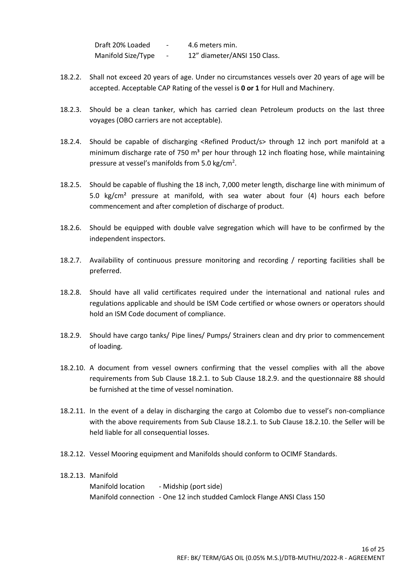Draft 20% Loaded - 4.6 meters min. Manifold Size/Type - 12" diameter/ANSI 150 Class.

- 18.2.2. Shall not exceed 20 years of age. Under no circumstances vessels over 20 years of age will be accepted. Acceptable CAP Rating of the vessel is **0 or 1** for Hull and Machinery.
- 18.2.3. Should be a clean tanker, which has carried clean Petroleum products on the last three voyages (OBO carriers are not acceptable).
- 18.2.4. Should be capable of discharging <Refined Product/s> through 12 inch port manifold at a minimum discharge rate of 750  $m<sup>3</sup>$  per hour through 12 inch floating hose, while maintaining pressure at vessel's manifolds from 5.0 kg/cm<sup>2</sup>.
- 18.2.5. Should be capable of flushing the 18 inch, 7,000 meter length, discharge line with minimum of 5.0 kg/cm² pressure at manifold, with sea water about four (4) hours each before commencement and after completion of discharge of product.
- 18.2.6. Should be equipped with double valve segregation which will have to be confirmed by the independent inspectors.
- 18.2.7. Availability of continuous pressure monitoring and recording / reporting facilities shall be preferred.
- 18.2.8. Should have all valid certificates required under the international and national rules and regulations applicable and should be ISM Code certified or whose owners or operators should hold an ISM Code document of compliance.
- 18.2.9. Should have cargo tanks/ Pipe lines/ Pumps/ Strainers clean and dry prior to commencement of loading.
- 18.2.10. A document from vessel owners confirming that the vessel complies with all the above requirements from Sub Clause 18.2.1. to Sub Clause 18.2.9. and the questionnaire 88 should be furnished at the time of vessel nomination.
- 18.2.11. In the event of a delay in discharging the cargo at Colombo due to vessel's non-compliance with the above requirements from Sub Clause 18.2.1. to Sub Clause 18.2.10. the Seller will be held liable for all consequential losses.
- 18.2.12. Vessel Mooring equipment and Manifolds should conform to OCIMF Standards.

# 18.2.13. Manifold Manifold location - Midship (port side) Manifold connection - One 12 inch studded Camlock Flange ANSI Class 150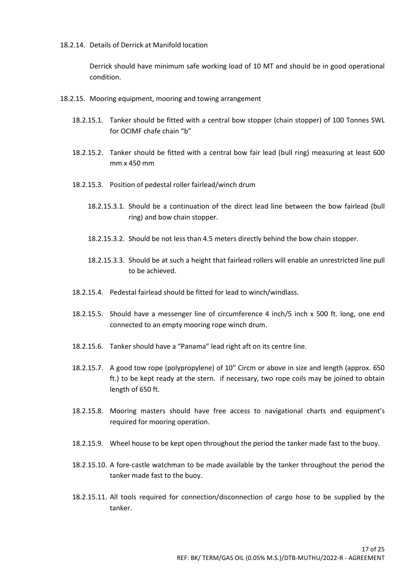18.2.14. Details of Derrick at Manifold location

Derrick should have minimum safe working load of 10 MT and should be in good operational condition.

- 18.2.15. Mooring equipment, mooring and towing arrangement
	- 18.2.15.1. Tanker should be fitted with a central bow stopper (chain stopper) of 100 Tonnes SWL for OCIMF chafe chain "b"
	- 18.2.15.2. Tanker should be fitted with a central bow fair lead (bull ring) measuring at least 600 mm x 450 mm
	- 18.2.15.3. Position of pedestal roller fairlead/winch drum
		- 18.2.15.3.1. Should be a continuation of the direct lead line between the bow fairlead (bull ring) and bow chain stopper.
		- 18.2.15.3.2. Should be not less than 4.5 meters directly behind the bow chain stopper.
		- 18.2.15.3.3. Should be at such a height that fairlead rollers will enable an unrestricted line pull to be achieved.
	- 18.2.15.4. Pedestal fairlead should be fitted for lead to winch/windlass.
	- 18.2.15.5. Should have a messenger line of circumference 4 inch/5 inch x 500 ft. long, one end connected to an empty mooring rope winch drum.
	- 18.2.15.6. Tanker should have a "Panama" lead right aft on its centre line.
	- 18.2.15.7. A good tow rope (polypropylene) of 10" Circm or above in size and length (approx. 650 ft.) to be kept ready at the stern. if necessary, two rope coils may be joined to obtain length of 650 ft.
	- 18.2.15.8. Mooring masters should have free access to navigational charts and equipment's required for mooring operation.
	- 18.2.15.9. Wheel house to be kept open throughout the period the tanker made fast to the buoy.
	- 18.2.15.10. A fore-castle watchman to be made available by the tanker throughout the period the tanker made fast to the buoy.
	- 18.2.15.11. All tools required for connection/disconnection of cargo hose to be supplied by the tanker.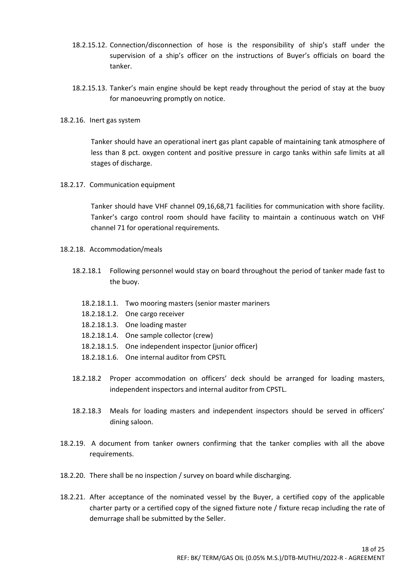- 18.2.15.12. Connection/disconnection of hose is the responsibility of ship's staff under the supervision of a ship's officer on the instructions of Buyer's officials on board the tanker.
- 18.2.15.13. Tanker's main engine should be kept ready throughout the period of stay at the buoy for manoeuvring promptly on notice.
- 18.2.16. Inert gas system

Tanker should have an operational inert gas plant capable of maintaining tank atmosphere of less than 8 pct. oxygen content and positive pressure in cargo tanks within safe limits at all stages of discharge.

18.2.17. Communication equipment

Tanker should have VHF channel 09,16,68,71 facilities for communication with shore facility. Tanker's cargo control room should have facility to maintain a continuous watch on VHF channel 71 for operational requirements.

- 18.2.18. Accommodation/meals
	- 18.2.18.1 Following personnel would stay on board throughout the period of tanker made fast to the buoy.
		- 18.2.18.1.1. Two mooring masters (senior master mariners
		- 18.2.18.1.2. One cargo receiver
		- 18.2.18.1.3. One loading master
		- 18.2.18.1.4. One sample collector (crew)
		- 18.2.18.1.5. One independent inspector (junior officer)
		- 18.2.18.1.6. One internal auditor from CPSTL
	- 18.2.18.2 Proper accommodation on officers' deck should be arranged for loading masters, independent inspectors and internal auditor from CPSTL.
	- 18.2.18.3 Meals for loading masters and independent inspectors should be served in officers' dining saloon.
- 18.2.19. A document from tanker owners confirming that the tanker complies with all the above requirements.
- 18.2.20. There shall be no inspection / survey on board while discharging.
- 18.2.21. After acceptance of the nominated vessel by the Buyer, a certified copy of the applicable charter party or a certified copy of the signed fixture note / fixture recap including the rate of demurrage shall be submitted by the Seller.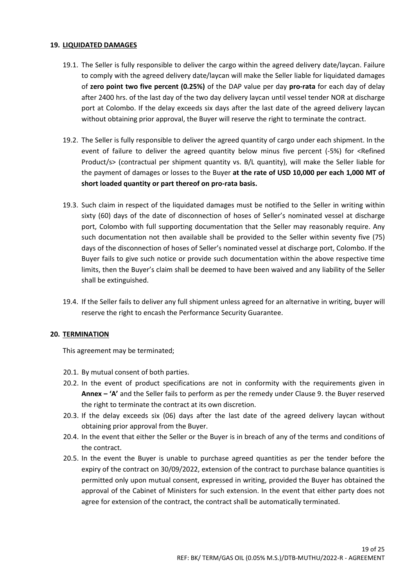#### **19. LIQUIDATED DAMAGES**

- 19.1. The Seller is fully responsible to deliver the cargo within the agreed delivery date/laycan. Failure to comply with the agreed delivery date/laycan will make the Seller liable for liquidated damages of **zero point two five percent (0.25%)** of the DAP value per day **pro-rata** for each day of delay after 2400 hrs. of the last day of the two day delivery laycan until vessel tender NOR at discharge port at Colombo. If the delay exceeds six days after the last date of the agreed delivery laycan without obtaining prior approval, the Buyer will reserve the right to terminate the contract.
- 19.2. The Seller is fully responsible to deliver the agreed quantity of cargo under each shipment. In the event of failure to deliver the agreed quantity below minus five percent (-5%) for <Refined Product/s> (contractual per shipment quantity vs. B/L quantity), will make the Seller liable for the payment of damages or losses to the Buyer **at the rate of USD 10,000 per each 1,000 MT of short loaded quantity or part thereof on pro-rata basis.**
- 19.3. Such claim in respect of the liquidated damages must be notified to the Seller in writing within sixty (60) days of the date of disconnection of hoses of Seller's nominated vessel at discharge port, Colombo with full supporting documentation that the Seller may reasonably require. Any such documentation not then available shall be provided to the Seller within seventy five (75) days of the disconnection of hoses of Seller's nominated vessel at discharge port, Colombo. If the Buyer fails to give such notice or provide such documentation within the above respective time limits, then the Buyer's claim shall be deemed to have been waived and any liability of the Seller shall be extinguished.
- 19.4. If the Seller fails to deliver any full shipment unless agreed for an alternative in writing, buyer will reserve the right to encash the Performance Security Guarantee.

#### **20. TERMINATION**

This agreement may be terminated;

- 20.1. By mutual consent of both parties.
- 20.2. In the event of product specifications are not in conformity with the requirements given in **Annex – 'A'** and the Seller fails to perform as per the remedy under Clause 9. the Buyer reserved the right to terminate the contract at its own discretion.
- 20.3. If the delay exceeds six (06) days after the last date of the agreed delivery laycan without obtaining prior approval from the Buyer.
- 20.4. In the event that either the Seller or the Buyer is in breach of any of the terms and conditions of the contract.
- 20.5. In the event the Buyer is unable to purchase agreed quantities as per the tender before the expiry of the contract on 30/09/2022, extension of the contract to purchase balance quantities is permitted only upon mutual consent, expressed in writing, provided the Buyer has obtained the approval of the Cabinet of Ministers for such extension. In the event that either party does not agree for extension of the contract, the contract shall be automatically terminated.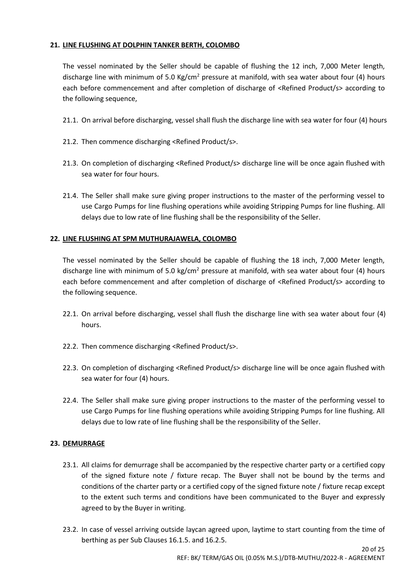### **21. LINE FLUSHING AT DOLPHIN TANKER BERTH, COLOMBO**

The vessel nominated by the Seller should be capable of flushing the 12 inch, 7,000 Meter length, discharge line with minimum of 5.0 Kg/cm<sup>2</sup> pressure at manifold, with sea water about four (4) hours each before commencement and after completion of discharge of <Refined Product/s> according to the following sequence,

- 21.1. On arrival before discharging, vessel shall flush the discharge line with sea water for four (4) hours
- 21.2. Then commence discharging <Refined Product/s>.
- 21.3. On completion of discharging <Refined Product/s> discharge line will be once again flushed with sea water for four hours.
- 21.4. The Seller shall make sure giving proper instructions to the master of the performing vessel to use Cargo Pumps for line flushing operations while avoiding Stripping Pumps for line flushing. All delays due to low rate of line flushing shall be the responsibility of the Seller.

#### **22. LINE FLUSHING AT SPM MUTHURAJAWELA, COLOMBO**

The vessel nominated by the Seller should be capable of flushing the 18 inch, 7,000 Meter length, discharge line with minimum of 5.0 kg/cm<sup>2</sup> pressure at manifold, with sea water about four (4) hours each before commencement and after completion of discharge of <Refined Product/s> according to the following sequence.

- 22.1. On arrival before discharging, vessel shall flush the discharge line with sea water about four (4) hours.
- 22.2. Then commence discharging <Refined Product/s>.
- 22.3. On completion of discharging <Refined Product/s> discharge line will be once again flushed with sea water for four (4) hours.
- 22.4. The Seller shall make sure giving proper instructions to the master of the performing vessel to use Cargo Pumps for line flushing operations while avoiding Stripping Pumps for line flushing. All delays due to low rate of line flushing shall be the responsibility of the Seller.

#### **23. DEMURRAGE**

- 23.1. All claims for demurrage shall be accompanied by the respective charter party or a certified copy of the signed fixture note / fixture recap. The Buyer shall not be bound by the terms and conditions of the charter party or a certified copy of the signed fixture note / fixture recap except to the extent such terms and conditions have been communicated to the Buyer and expressly agreed to by the Buyer in writing.
- 23.2. In case of vessel arriving outside laycan agreed upon, laytime to start counting from the time of berthing as per Sub Clauses 16.1.5. and 16.2.5.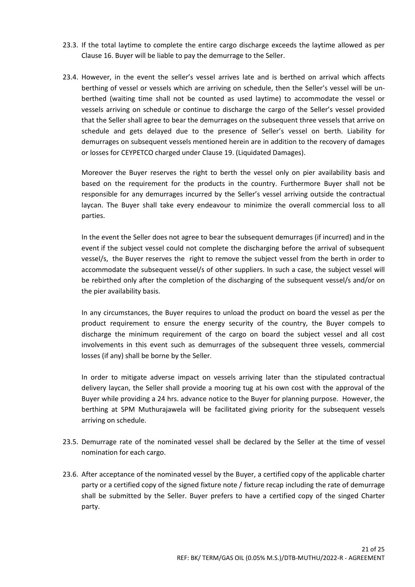- 23.3. If the total laytime to complete the entire cargo discharge exceeds the laytime allowed as per Clause 16. Buyer will be liable to pay the demurrage to the Seller.
- 23.4. However, in the event the seller's vessel arrives late and is berthed on arrival which affects berthing of vessel or vessels which are arriving on schedule, then the Seller's vessel will be unberthed (waiting time shall not be counted as used laytime) to accommodate the vessel or vessels arriving on schedule or continue to discharge the cargo of the Seller's vessel provided that the Seller shall agree to bear the demurrages on the subsequent three vessels that arrive on schedule and gets delayed due to the presence of Seller's vessel on berth. Liability for demurrages on subsequent vessels mentioned herein are in addition to the recovery of damages or losses for CEYPETCO charged under Clause 19. (Liquidated Damages).

Moreover the Buyer reserves the right to berth the vessel only on pier availability basis and based on the requirement for the products in the country. Furthermore Buyer shall not be responsible for any demurrages incurred by the Seller's vessel arriving outside the contractual laycan. The Buyer shall take every endeavour to minimize the overall commercial loss to all parties.

In the event the Seller does not agree to bear the subsequent demurrages (if incurred) and in the event if the subject vessel could not complete the discharging before the arrival of subsequent vessel/s, the Buyer reserves the right to remove the subject vessel from the berth in order to accommodate the subsequent vessel/s of other suppliers. In such a case, the subject vessel will be rebirthed only after the completion of the discharging of the subsequent vessel/s and/or on the pier availability basis.

In any circumstances, the Buyer requires to unload the product on board the vessel as per the product requirement to ensure the energy security of the country, the Buyer compels to discharge the minimum requirement of the cargo on board the subject vessel and all cost involvements in this event such as demurrages of the subsequent three vessels, commercial losses (if any) shall be borne by the Seller.

In order to mitigate adverse impact on vessels arriving later than the stipulated contractual delivery laycan, the Seller shall provide a mooring tug at his own cost with the approval of the Buyer while providing a 24 hrs. advance notice to the Buyer for planning purpose. However, the berthing at SPM Muthurajawela will be facilitated giving priority for the subsequent vessels arriving on schedule.

- 23.5. Demurrage rate of the nominated vessel shall be declared by the Seller at the time of vessel nomination for each cargo.
- 23.6. After acceptance of the nominated vessel by the Buyer, a certified copy of the applicable charter party or a certified copy of the signed fixture note / fixture recap including the rate of demurrage shall be submitted by the Seller. Buyer prefers to have a certified copy of the singed Charter party.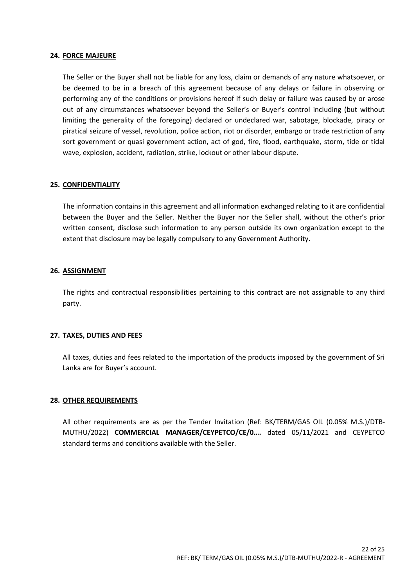#### **24. FORCE MAJEURE**

The Seller or the Buyer shall not be liable for any loss, claim or demands of any nature whatsoever, or be deemed to be in a breach of this agreement because of any delays or failure in observing or performing any of the conditions or provisions hereof if such delay or failure was caused by or arose out of any circumstances whatsoever beyond the Seller's or Buyer's control including (but without limiting the generality of the foregoing) declared or undeclared war, sabotage, blockade, piracy or piratical seizure of vessel, revolution, police action, riot or disorder, embargo or trade restriction of any sort government or quasi government action, act of god, fire, flood, earthquake, storm, tide or tidal wave, explosion, accident, radiation, strike, lockout or other labour dispute.

#### **25. CONFIDENTIALITY**

The information contains in this agreement and all information exchanged relating to it are confidential between the Buyer and the Seller. Neither the Buyer nor the Seller shall, without the other's prior written consent, disclose such information to any person outside its own organization except to the extent that disclosure may be legally compulsory to any Government Authority.

#### **26. ASSIGNMENT**

The rights and contractual responsibilities pertaining to this contract are not assignable to any third party.

#### **27. TAXES, DUTIES AND FEES**

All taxes, duties and fees related to the importation of the products imposed by the government of Sri Lanka are for Buyer's account.

#### **28. OTHER REQUIREMENTS**

All other requirements are as per the Tender Invitation (Ref: BK/TERM/GAS OIL (0.05% M.S.)/DTB-MUTHU/2022) **COMMERCIAL MANAGER/CEYPETCO/CE/0….** dated 05/11/2021 and CEYPETCO standard terms and conditions available with the Seller.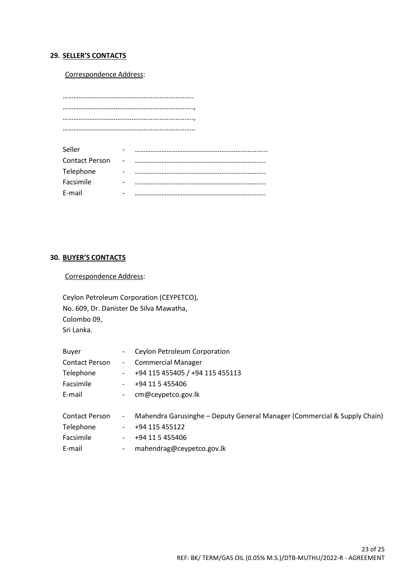### **29. SELLER'S CONTACTS**

#### Correspondence Address:

……………………………………………………………….. ……………………………………………………………….., ……………………………………………………………….., ………………………………………………………………...

| Seller                | $\overline{\phantom{0}}$ |  |
|-----------------------|--------------------------|--|
| <b>Contact Person</b> | $\sim$ $-$               |  |
| Telephone             | -                        |  |
| Facsimile             | -                        |  |
| E-mail                |                          |  |

#### **30. BUYER'S CONTACTS**

Correspondence Address:

Ceylon Petroleum Corporation (CEYPETCO), No. 609, Dr. Danister De Silva Mawatha, Colombo 09, Sri Lanka.

| Buyer                 |                          | Ceylon Petroleum Corporation                                             |
|-----------------------|--------------------------|--------------------------------------------------------------------------|
| <b>Contact Person</b> | $ \,$                    | <b>Commercial Manager</b>                                                |
| Telephone             | $\overline{\phantom{a}}$ | +94 115 455405 / +94 115 455113                                          |
| Facsimile             | -                        | +94 11 5 455406                                                          |
| E-mail                | $\overline{\phantom{0}}$ | cm@ceypetco.gov.lk                                                       |
| <b>Contact Person</b> | $\overline{\phantom{a}}$ | Mahendra Garusinghe – Deputy General Manager (Commercial & Supply Chain) |
| Telephone             | $\overline{\phantom{a}}$ | +94 115 455122                                                           |
| Facsimile             | $\overline{\phantom{0}}$ | +94 11 5 455406                                                          |
| E-mail                | $\overline{\phantom{a}}$ | mahendrag@ceypetco.gov.lk                                                |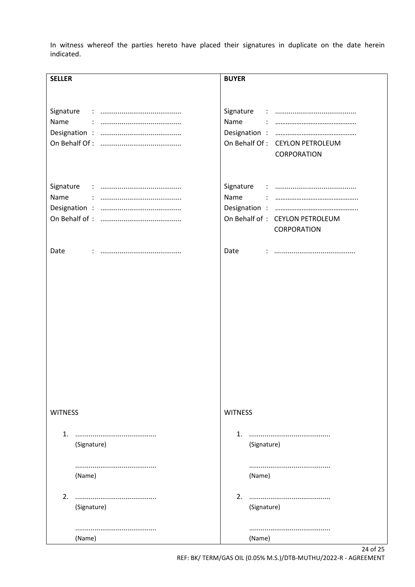In witness whereof the parties hereto have placed their signatures in duplicate on the date herein indicated.

| <b>SELLER</b>  | <b>BUYER</b>                    |
|----------------|---------------------------------|
|                |                                 |
|                |                                 |
|                |                                 |
| Name           | Name                            |
|                |                                 |
|                | On Behalf Of: CEYLON PETROLEUM  |
|                | CORPORATION                     |
|                |                                 |
|                |                                 |
|                |                                 |
| Name           | Name                            |
|                |                                 |
|                | On Behalf of : CEYLON PETROLEUM |
|                | CORPORATION                     |
|                |                                 |
| Date           | Date                            |
|                |                                 |
|                |                                 |
|                |                                 |
|                |                                 |
|                |                                 |
|                |                                 |
|                |                                 |
|                |                                 |
|                |                                 |
|                |                                 |
|                |                                 |
|                |                                 |
|                |                                 |
|                |                                 |
|                |                                 |
| <b>WITNESS</b> | <b>WITNESS</b>                  |
|                |                                 |
| 1.             | 1.                              |
| (Signature)    | (Signature)                     |
|                |                                 |
|                |                                 |
| (Name)         | (Name)                          |
|                |                                 |
|                |                                 |
| 2.             | 2.                              |
| (Signature)    | (Signature)                     |
|                |                                 |
|                |                                 |
| (Name)         | (Name)                          |